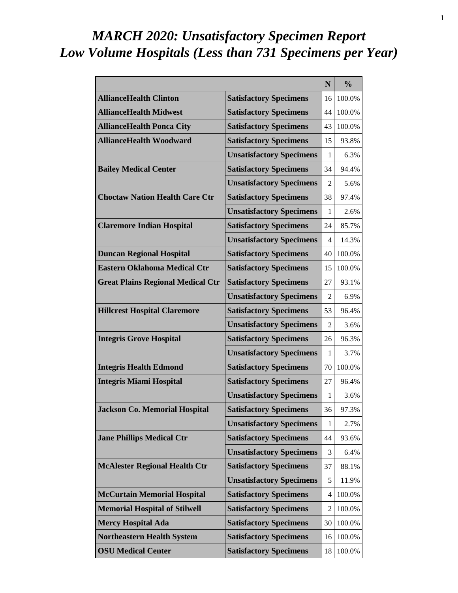# *MARCH 2020: Unsatisfactory Specimen Report Low Volume Hospitals (Less than 731 Specimens per Year)*

|                                          |                                 | N              | $\frac{0}{0}$ |
|------------------------------------------|---------------------------------|----------------|---------------|
| <b>AllianceHealth Clinton</b>            | <b>Satisfactory Specimens</b>   | 16             | 100.0%        |
| <b>AllianceHealth Midwest</b>            | <b>Satisfactory Specimens</b>   | 44             | 100.0%        |
| <b>AllianceHealth Ponca City</b>         | <b>Satisfactory Specimens</b>   | 43             | 100.0%        |
| <b>AllianceHealth Woodward</b>           | <b>Satisfactory Specimens</b>   | 15             | 93.8%         |
|                                          | <b>Unsatisfactory Specimens</b> | 1              | 6.3%          |
| <b>Bailey Medical Center</b>             | <b>Satisfactory Specimens</b>   | 34             | 94.4%         |
|                                          | <b>Unsatisfactory Specimens</b> | 2              | 5.6%          |
| <b>Choctaw Nation Health Care Ctr</b>    | <b>Satisfactory Specimens</b>   | 38             | 97.4%         |
|                                          | <b>Unsatisfactory Specimens</b> | 1              | 2.6%          |
| <b>Claremore Indian Hospital</b>         | <b>Satisfactory Specimens</b>   | 24             | 85.7%         |
|                                          | <b>Unsatisfactory Specimens</b> | 4              | 14.3%         |
| <b>Duncan Regional Hospital</b>          | <b>Satisfactory Specimens</b>   | 40             | 100.0%        |
| <b>Eastern Oklahoma Medical Ctr</b>      | <b>Satisfactory Specimens</b>   | 15             | 100.0%        |
| <b>Great Plains Regional Medical Ctr</b> | <b>Satisfactory Specimens</b>   | 27             | 93.1%         |
|                                          | <b>Unsatisfactory Specimens</b> | $\overline{2}$ | 6.9%          |
| <b>Hillcrest Hospital Claremore</b>      | <b>Satisfactory Specimens</b>   | 53             | 96.4%         |
|                                          | <b>Unsatisfactory Specimens</b> | 2              | 3.6%          |
| <b>Integris Grove Hospital</b>           | <b>Satisfactory Specimens</b>   | 26             | 96.3%         |
|                                          | <b>Unsatisfactory Specimens</b> | 1              | 3.7%          |
| <b>Integris Health Edmond</b>            | <b>Satisfactory Specimens</b>   | 70             | 100.0%        |
| <b>Integris Miami Hospital</b>           | <b>Satisfactory Specimens</b>   | 27             | 96.4%         |
|                                          | <b>Unsatisfactory Specimens</b> | 1              | 3.6%          |
| <b>Jackson Co. Memorial Hospital</b>     | <b>Satisfactory Specimens</b>   | 36             | 97.3%         |
|                                          | <b>Unsatisfactory Specimens</b> | 1              | 2.7%          |
| <b>Jane Phillips Medical Ctr</b>         | <b>Satisfactory Specimens</b>   | 44             | 93.6%         |
|                                          | <b>Unsatisfactory Specimens</b> | 3              | 6.4%          |
| <b>McAlester Regional Health Ctr</b>     | <b>Satisfactory Specimens</b>   | 37             | 88.1%         |
|                                          | <b>Unsatisfactory Specimens</b> | 5              | 11.9%         |
| <b>McCurtain Memorial Hospital</b>       | <b>Satisfactory Specimens</b>   | 4              | 100.0%        |
| <b>Memorial Hospital of Stilwell</b>     | <b>Satisfactory Specimens</b>   | 2              | 100.0%        |
| <b>Mercy Hospital Ada</b>                | <b>Satisfactory Specimens</b>   | 30             | 100.0%        |
| <b>Northeastern Health System</b>        | <b>Satisfactory Specimens</b>   | 16             | 100.0%        |
| <b>OSU Medical Center</b>                | <b>Satisfactory Specimens</b>   | 18             | 100.0%        |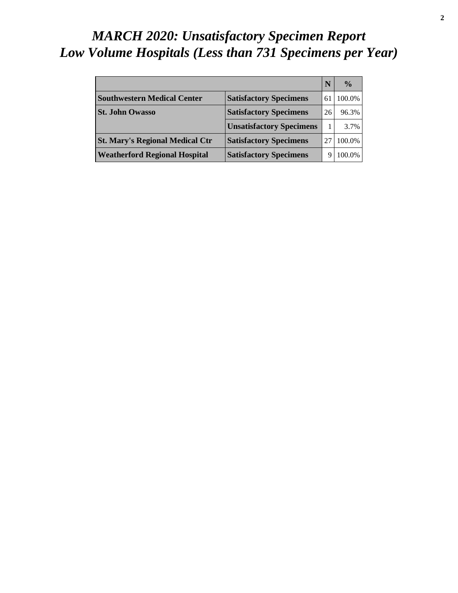# *MARCH 2020: Unsatisfactory Specimen Report Low Volume Hospitals (Less than 731 Specimens per Year)*

|                                        |                                 |    | $\frac{0}{0}$ |
|----------------------------------------|---------------------------------|----|---------------|
| <b>Southwestern Medical Center</b>     | <b>Satisfactory Specimens</b>   | 61 | 100.0%        |
| <b>St. John Owasso</b>                 | <b>Satisfactory Specimens</b>   | 26 | 96.3%         |
|                                        | <b>Unsatisfactory Specimens</b> |    | 3.7%          |
| <b>St. Mary's Regional Medical Ctr</b> | <b>Satisfactory Specimens</b>   |    | 100.0%        |
| <b>Weatherford Regional Hospital</b>   | <b>Satisfactory Specimens</b>   |    | 100.0%        |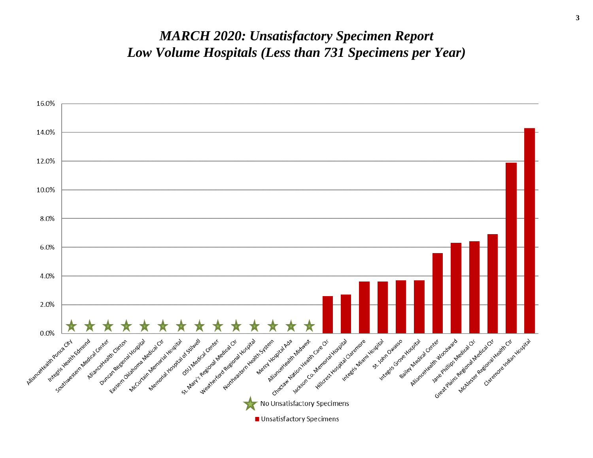#### *MARCH 2020: Unsatisfactory Specimen Report Low Volume Hospitals (Less than 731 Specimens per Year)*

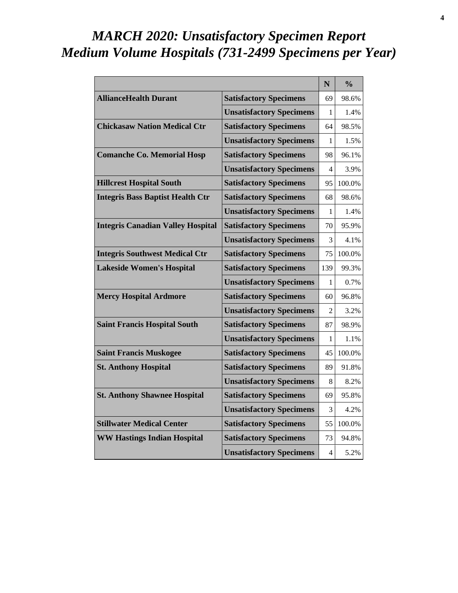# *MARCH 2020: Unsatisfactory Specimen Report Medium Volume Hospitals (731-2499 Specimens per Year)*

|                                          |                                 | N   | $\frac{0}{0}$ |
|------------------------------------------|---------------------------------|-----|---------------|
| <b>AllianceHealth Durant</b>             | <b>Satisfactory Specimens</b>   | 69  | 98.6%         |
|                                          | <b>Unsatisfactory Specimens</b> | 1   | 1.4%          |
| <b>Chickasaw Nation Medical Ctr</b>      | <b>Satisfactory Specimens</b>   | 64  | 98.5%         |
|                                          | <b>Unsatisfactory Specimens</b> | 1   | 1.5%          |
| <b>Comanche Co. Memorial Hosp</b>        | <b>Satisfactory Specimens</b>   | 98  | 96.1%         |
|                                          | <b>Unsatisfactory Specimens</b> | 4   | 3.9%          |
| <b>Hillcrest Hospital South</b>          | <b>Satisfactory Specimens</b>   | 95  | 100.0%        |
| <b>Integris Bass Baptist Health Ctr</b>  | <b>Satisfactory Specimens</b>   | 68  | 98.6%         |
|                                          | <b>Unsatisfactory Specimens</b> | 1   | 1.4%          |
| <b>Integris Canadian Valley Hospital</b> | <b>Satisfactory Specimens</b>   | 70  | 95.9%         |
|                                          | <b>Unsatisfactory Specimens</b> | 3   | 4.1%          |
| <b>Integris Southwest Medical Ctr</b>    | <b>Satisfactory Specimens</b>   | 75  | 100.0%        |
| <b>Lakeside Women's Hospital</b>         | <b>Satisfactory Specimens</b>   | 139 | 99.3%         |
|                                          | <b>Unsatisfactory Specimens</b> | 1   | 0.7%          |
| <b>Mercy Hospital Ardmore</b>            | <b>Satisfactory Specimens</b>   | 60  | 96.8%         |
|                                          | <b>Unsatisfactory Specimens</b> | 2   | 3.2%          |
| <b>Saint Francis Hospital South</b>      | <b>Satisfactory Specimens</b>   | 87  | 98.9%         |
|                                          | <b>Unsatisfactory Specimens</b> | 1   | 1.1%          |
| <b>Saint Francis Muskogee</b>            | <b>Satisfactory Specimens</b>   | 45  | 100.0%        |
| <b>St. Anthony Hospital</b>              | <b>Satisfactory Specimens</b>   | 89  | 91.8%         |
|                                          | <b>Unsatisfactory Specimens</b> | 8   | 8.2%          |
| <b>St. Anthony Shawnee Hospital</b>      | <b>Satisfactory Specimens</b>   | 69  | 95.8%         |
|                                          | <b>Unsatisfactory Specimens</b> | 3   | 4.2%          |
| <b>Stillwater Medical Center</b>         | <b>Satisfactory Specimens</b>   | 55  | 100.0%        |
| <b>WW Hastings Indian Hospital</b>       | <b>Satisfactory Specimens</b>   | 73  | 94.8%         |
|                                          | <b>Unsatisfactory Specimens</b> | 4   | 5.2%          |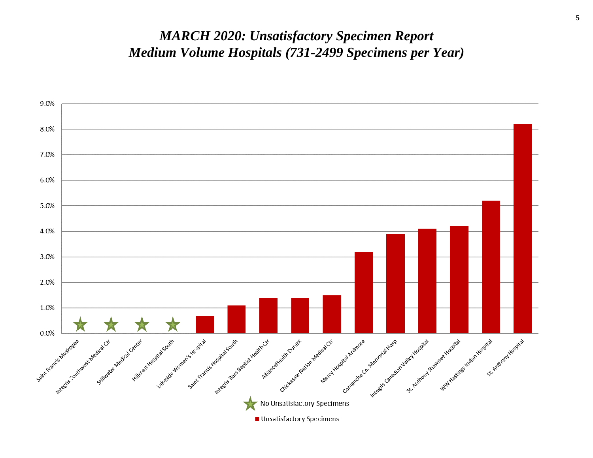#### *MARCH 2020: Unsatisfactory Specimen Report Medium Volume Hospitals (731-2499 Specimens per Year)*

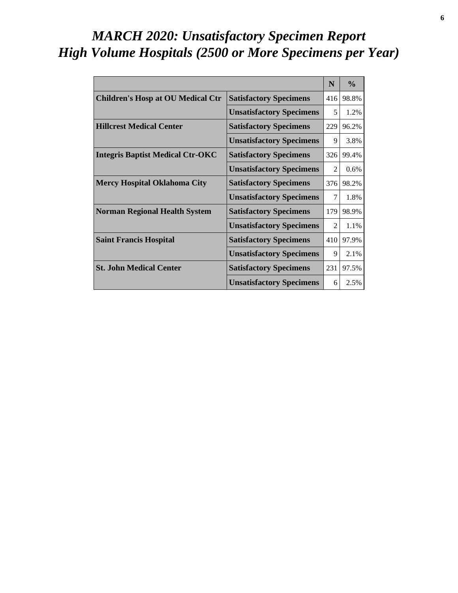# *MARCH 2020: Unsatisfactory Specimen Report High Volume Hospitals (2500 or More Specimens per Year)*

|                                          |                                 | N                           | $\frac{0}{0}$ |
|------------------------------------------|---------------------------------|-----------------------------|---------------|
| <b>Children's Hosp at OU Medical Ctr</b> | <b>Satisfactory Specimens</b>   | 416                         | 98.8%         |
|                                          | <b>Unsatisfactory Specimens</b> | 5                           | 1.2%          |
| <b>Hillcrest Medical Center</b>          | <b>Satisfactory Specimens</b>   | 229                         | 96.2%         |
|                                          | <b>Unsatisfactory Specimens</b> | 9                           | 3.8%          |
| <b>Integris Baptist Medical Ctr-OKC</b>  | <b>Satisfactory Specimens</b>   | 326                         | 99.4%         |
|                                          | <b>Unsatisfactory Specimens</b> | $\mathcal{D}_{\mathcal{L}}$ | $0.6\%$       |
| <b>Mercy Hospital Oklahoma City</b>      | <b>Satisfactory Specimens</b>   | 376                         | 98.2%         |
|                                          | <b>Unsatisfactory Specimens</b> | 7                           | 1.8%          |
| <b>Norman Regional Health System</b>     | <b>Satisfactory Specimens</b>   | 179                         | 98.9%         |
|                                          | <b>Unsatisfactory Specimens</b> | $\mathcal{D}_{\mathcal{L}}$ | 1.1%          |
| <b>Saint Francis Hospital</b>            | <b>Satisfactory Specimens</b>   | 410                         | 97.9%         |
|                                          | <b>Unsatisfactory Specimens</b> | 9                           | 2.1%          |
| <b>St. John Medical Center</b>           | <b>Satisfactory Specimens</b>   | 231                         | 97.5%         |
|                                          | <b>Unsatisfactory Specimens</b> | 6                           | 2.5%          |